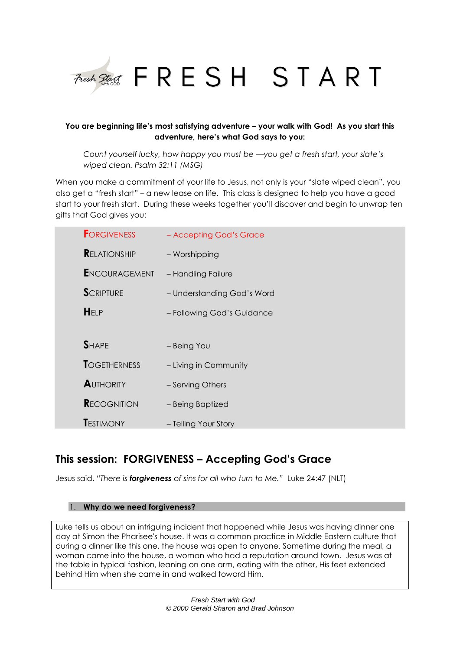

# **You are beginning life's most satisfying adventure – your walk with God! As you start this adventure, here's what God says to you:**

*Count yourself lucky, how happy you must be —you get a fresh start, your slate's wiped clean. Psalm 32:11 (MSG)*

When you make a commitment of your life to Jesus, not only is your "slate wiped clean", you also get a "fresh start" – a new lease on life. This class is designed to help you have a good start to your fresh start. During these weeks together you'll discover and begin to unwrap ten gifts that God gives you:

| <b>FORGIVENESS</b>   | - Accepting God's Grace    |
|----------------------|----------------------------|
| <b>RELATIONSHIP</b>  | - Worshipping              |
| <b>ENCOURAGEMENT</b> | - Handling Failure         |
| <b>SCRIPTURE</b>     | - Understanding God's Word |
| HELP                 | - Following God's Guidance |
|                      |                            |
| <b>SHAPE</b>         | - Being You                |
| <b>TOGETHERNESS</b>  | - Living in Community      |
| <b>AUTHORITY</b>     | - Serving Others           |
| <b>RECOGNITION</b>   | - Being Baptized           |
| <b>TESTIMONY</b>     | - Telling Your Story       |

# **This session: FORGIVENESS – Accepting God's Grace**

Jesus said, *"There is forgiveness of sins for all who turn to Me."* Luke 24:47 (NLT)

## 1. **Why do we need forgiveness?**

Luke tells us about an intriguing incident that happened while Jesus was having dinner one day at Simon the Pharisee's house. It was a common practice in Middle Eastern culture that during a dinner like this one, the house was open to anyone. Sometime during the meal, a woman came into the house, a woman who had a reputation around town. Jesus was at the table in typical fashion, leaning on one arm, eating with the other, His feet extended behind Him when she came in and walked toward Him.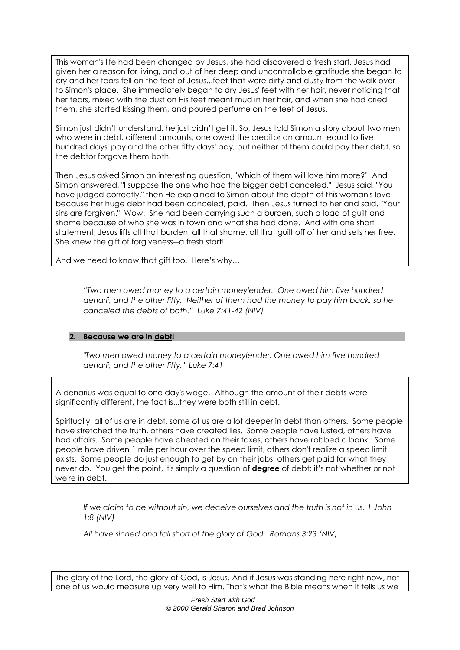This woman's life had been changed by Jesus, she had discovered a fresh start, Jesus had given her a reason for living, and out of her deep and uncontrollable gratitude she began to cry and her tears fell on the feet of Jesus...feet that were dirty and dusty from the walk over to Simon's place. She immediately began to dry Jesus' feet with her hair, never noticing that her tears, mixed with the dust on His feet meant mud in her hair, and when she had dried them, she started kissing them, and poured perfume on the feet of Jesus.

Simon just didn't understand, he just didn't get it. So, Jesus told Simon a story about two men who were in debt, different amounts, one owed the creditor an amount equal to five hundred days' pay and the other fifty days' pay, but neither of them could pay their debt, so the debtor forgave them both.

Then Jesus asked Simon an interesting question, "Which of them will love him more?" And Simon answered, "I suppose the one who had the bigger debt canceled." Jesus said, "You have judged correctly," then He explained to Simon about the depth of this woman's love because her huge debt had been canceled, paid. Then Jesus turned to her and said, "Your sins are forgiven." Wow! She had been carrying such a burden, such a load of guilt and shame because of who she was in town and what she had done. And with one short statement, Jesus lifts all that burden, all that shame, all that guilt off of her and sets her free. She knew the gift of forgiveness—a fresh start!

And we need to know that gift too. Here's why…

*"Two men owed money to a certain moneylender. One owed him five hundred denarii, and the other fifty. Neither of them had the money to pay him back, so he canceled the debts of both." Luke 7:41-42 (NIV)*

## **2. Because we are in debt!**

*"Two men owed money to a certain moneylender. One owed him five hundred denarii, and the other fifty." Luke 7:41*

A denarius was equal to one day's wage. Although the amount of their debts were significantly different, the fact is...they were both still in debt.

Spiritually, all of us are in debt, some of us are a lot deeper in debt than others. Some people have stretched the truth, others have created lies. Some people have lusted, others have had affairs. Some people have cheated on their taxes, others have robbed a bank. Some people have driven 1 mile per hour over the speed limit, others don't realize a speed limit exists. Some people do just enough to get by on their jobs, others get paid for what they never do. You get the point, it's simply a question of **degree** of debt; it's not whether or not we're in debt.

*If we claim to be without sin, we deceive ourselves and the truth is not in us. 1 John 1:8 (NIV)*

*All have sinned and fall short of the glory of God. Romans 3:23 (NIV)*

The glory of the Lord, the glory of God, is Jesus. And if Jesus was standing here right now, not one of us would measure up very well to Him. That's what the Bible means when it tells us we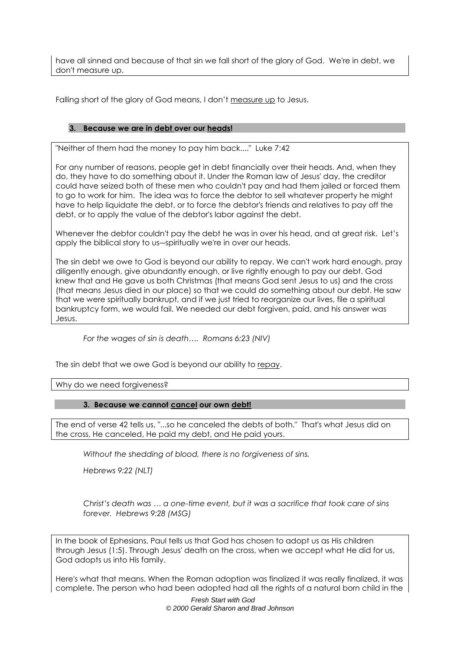have all sinned and because of that sin we fall short of the glory of God. We're in debt, we don't measure up.

Falling short of the glory of God means, I don't measure up to Jesus.

# **3. Because we are in debt over our heads!**

"Neither of them had the money to pay him back...." Luke 7:42

For any number of reasons, people get in debt financially over their heads. And, when they do, they have to do something about it. Under the Roman law of Jesus' day, the creditor could have seized both of these men who couldn't pay and had them jailed or forced them to go to work for him. The idea was to force the debtor to sell whatever property he might have to help liquidate the debt, or to force the debtor's friends and relatives to pay off the debt, or to apply the value of the debtor's labor against the debt.

Whenever the debtor couldn't pay the debt he was in over his head, and at great risk. Let's apply the biblical story to us―spiritually we're in over our heads.

The sin debt we owe to God is beyond our ability to repay. We can't work hard enough, pray diligently enough, give abundantly enough, or live rightly enough to pay our debt. God knew that and He gave us both Christmas (that means God sent Jesus to us) and the cross (that means Jesus died in our place) so that we could do something about our debt. He saw that we were spiritually bankrupt, and if we just tried to reorganize our lives, file a spiritual bankruptcy form, we would fail. We needed our debt forgiven, paid, and his answer was Jesus.

*For the wages of sin is death…. Romans 6:23 (NIV)*

The sin debt that we owe God is beyond our ability to repay.

Why do we need forgiveness?

## **3. Because we cannot cancel our own debt!**

The end of verse 42 tells us, "...so he canceled the debts of both." That's what Jesus did on the cross, He canceled, He paid my debt, and He paid yours.

*Without the shedding of blood, there is no forgiveness of sins.* 

*Hebrews 9:22 (NLT)*

*Christ's death was … a one-time event, but it was a sacrifice that took care of sins forever. Hebrews 9:28 (MSG)*

In the book of Ephesians, Paul tells us that God has chosen to adopt us as His children through Jesus (1:5). Through Jesus' death on the cross, when we accept what He did for us, God adopts us into His family.

Here's what that means. When the Roman adoption was finalized it was really finalized, it was complete. The person who had been adopted had all the rights of a natural born child in the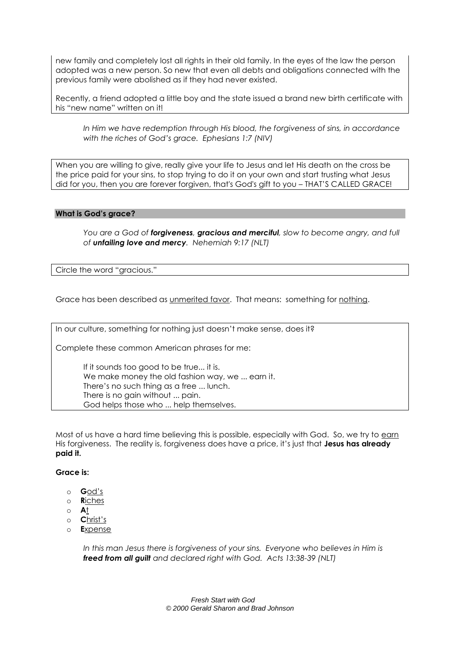new family and completely lost all rights in their old family. In the eyes of the law the person adopted was a new person. So new that even all debts and obligations connected with the previous family were abolished as if they had never existed.

Recently, a friend adopted a little boy and the state issued a brand new birth certificate with his "new name" written on it!

*In Him we have redemption through His blood, the forgiveness of sins, in accordance with the riches of God's grace. Ephesians 1:7 (NIV)*

When you are willing to give, really give your life to Jesus and let His death on the cross be the price paid for your sins, to stop trying to do it on your own and start trusting what Jesus did for you, then you are forever forgiven, that's God's gift to you – THAT'S CALLED GRACE!

#### **What is God's grace?**

*You are a God of forgiveness, gracious and merciful, slow to become angry, and full of unfailing love and mercy. Nehemiah 9:17 (NLT)*

Circle the word "gracious."

Grace has been described as unmerited favor. That means: something for nothing.

In our culture, something for nothing just doesn't make sense, does it?

Complete these common American phrases for me:

If it sounds too good to be true... it is. We make money the old fashion way, we ... earn it. There's no such thing as a free ... lunch. There is no gain without ... pain. God helps those who ... help themselves.

Most of us have a hard time believing this is possible, especially with God. So, we try to earn His forgiveness. The reality is, forgiveness does have a price, it's just that **Jesus has already paid it.**

## **Grace is:**

- o **G**od's
- o **R**iches
- o **A**t
- o **C**hrist's
- o **E**xpense

In this man Jesus there is forgiveness of your sins. Everyone who believes in Him is *freed from all guilt and declared right with God. Acts 13:38-39 (NLT)*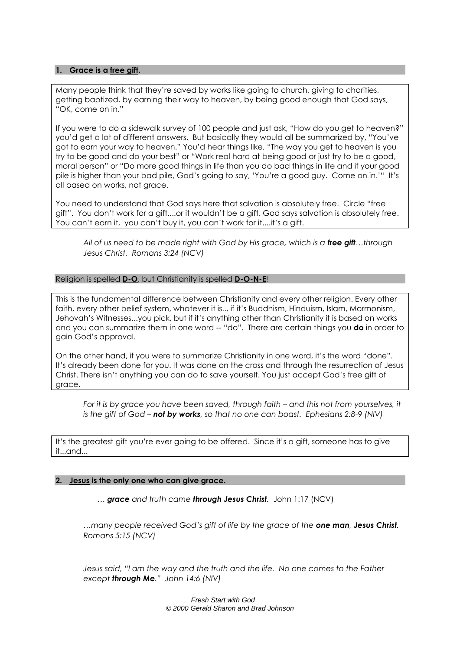### **1. Grace is a free gift.**

Many people think that they're saved by works like going to church, giving to charities, getting baptized, by earning their way to heaven, by being good enough that God says, "OK, come on in."

If you were to do a sidewalk survey of 100 people and just ask, "How do you get to heaven?" you'd get a lot of different answers. But basically they would all be summarized by, "You've got to earn your way to heaven." You'd hear things like, "The way you get to heaven is you try to be good and do your best" or "Work real hard at being good or just try to be a good, moral person" or "Do more good things in life than you do bad things in life and if your good pile is higher than your bad pile, God's going to say, 'You're a good guy. Come on in.'" It's all based on works, not grace.

You need to understand that God says here that salvation is absolutely free. Circle "free gift". You don't work for a gift....or it wouldn't be a gift. God says salvation is absolutely free. You can't earn it, you can't buy it, you can't work for it....it's a gift.

*All of us need to be made right with God by His grace, which is a free gift…through Jesus Christ. Romans 3:24 (NCV)*

#### Religion is spelled **D-O**, but Christianity is spelled **D-O-N-E**!

This is the fundamental difference between Christianity and every other religion. Every other faith, every other belief system, whatever it is... if it's Buddhism, Hinduism, Islam, Mormonism, Jehovah's Witnesses...you pick, but if it's anything other than Christianity it is based on works and you can summarize them in one word -- "do". There are certain things you **do** in order to gain God's approval.

On the other hand, if you were to summarize Christianity in one word, it's the word "done". It's already been done for you. It was done on the cross and through the resurrection of Jesus Christ. There isn't anything you can do to save yourself. You just accept God's free gift of grace.

*For it is by grace you have been saved, through faith – and this not from yourselves, it is the gift of God – not by works, so that no one can boast. Ephesians 2:8-9 (NIV)*

It's the greatest gift you're ever going to be offered. Since it's a gift, someone has to give it...and...

#### **2. Jesus is the only one who can give grace.**

*… grace and truth came through Jesus Christ.* John 1:17 (NCV)

*…many people received God's gift of life by the grace of the one man, Jesus Christ. Romans 5:15 (NCV)*

*Jesus said, "I am the way and the truth and the life. No one comes to the Father except through Me." John 14:6 (NIV)*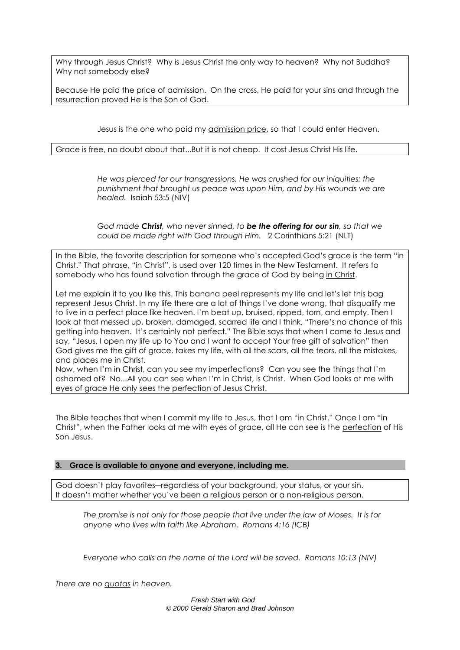Why through Jesus Christ? Why is Jesus Christ the only way to heaven? Why not Buddha? Why not somebody else?

Because He paid the price of admission. On the cross, He paid for your sins and through the resurrection proved He is the Son of God.

Jesus is the one who paid my admission price, so that I could enter Heaven.

Grace is free, no doubt about that...But it is not cheap. It cost Jesus Christ His life.

*He was pierced for our transgressions, He was crushed for our iniquities; the punishment that brought us peace was upon Him, and by His wounds we are healed.* Isaiah 53:5 (NIV)

*God made Christ, who never sinned, to be the offering for our sin, so that we could be made right with God through Him.* 2 Corinthians 5:21 (NLT)

In the Bible, the favorite description for someone who's accepted God's grace is the term "in Christ." That phrase, "in Christ", is used over 120 times in the New Testament. It refers to somebody who has found salvation through the grace of God by being in Christ.

Let me explain it to you like this. This banana peel represents my life and let's let this bag represent Jesus Christ. In my life there are a lot of things I've done wrong, that disqualify me to live in a perfect place like heaven. I'm beat up, bruised, ripped, torn, and empty. Then I look at that messed up, broken, damaged, scarred life and I think, "There's no chance of this getting into heaven. It's certainly not perfect." The Bible says that when I come to Jesus and say, "Jesus, I open my life up to You and I want to accept Your free gift of salvation" then God gives me the gift of grace, takes my life, with all the scars, all the tears, all the mistakes, and places me in Christ.

Now, when I'm in Christ, can you see my imperfections? Can you see the things that I'm ashamed of? No...All you can see when I'm in Christ, is Christ. When God looks at me with eyes of grace He only sees the perfection of Jesus Christ.

The Bible teaches that when I commit my life to Jesus, that I am "in Christ." Once I am "in Christ", when the Father looks at me with eyes of grace, all He can see is the perfection of His Son Jesus.

## **3. Grace is available to anyone and everyone, including me.**

God doesn't play favorites―regardless of your background, your status, or your sin. It doesn't matter whether you've been a religious person or a non-religious person.

*The promise is not only for those people that live under the law of Moses. It is for anyone who lives with faith like Abraham. Romans 4:16 (ICB)*

*Everyone who calls on the name of the Lord will be saved. Romans 10:13 (NIV)*

*There are no quotas in heaven.*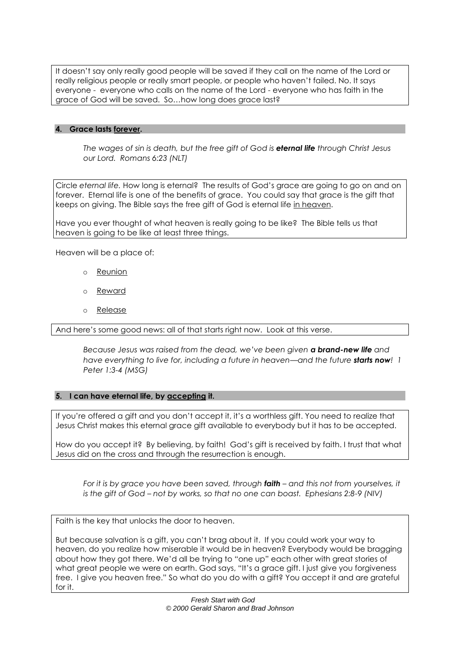It doesn't say only really good people will be saved if they call on the name of the Lord or really religious people or really smart people, or people who haven't failed. No. It says everyone - everyone who calls on the name of the Lord - everyone who has faith in the grace of God will be saved. So…how long does grace last?

# **4. Grace lasts forever.**

*The wages of sin is death, but the free gift of God is eternal life through Christ Jesus our Lord. Romans 6:23 (NLT)*

Circle *eternal life.* How long is eternal? The results of God's grace are going to go on and on forever. Eternal life is one of the benefits of grace. You could say that grace is the gift that keeps on giving. The Bible says the free gift of God is eternal life in heaven.

Have you ever thought of what heaven is really going to be like? The Bible tells us that heaven is going to be like at least three things.

Heaven will be a place of:

- o Reunion
- o Reward
- o Release

And here's some good news: all of that starts right now. Look at this verse.

*Because Jesus was raised from the dead, we've been given a brand-new life and have everything to live for, including a future in heaven—and the future starts now! 1 Peter 1:3-4 (MSG)*

## **5. I can have eternal life, by accepting it.**

If you're offered a gift and you don't accept it, it's a worthless gift. You need to realize that Jesus Christ makes this eternal grace gift available to everybody but it has to be accepted.

How do you accept it? By believing, by faith! God's gift is received by faith. I trust that what Jesus did on the cross and through the resurrection is enough.

*For it is by grace you have been saved, through faith – and this not from yourselves, it is the gift of God – not by works, so that no one can boast. Ephesians 2:8-9 (NIV)*

Faith is the key that unlocks the door to heaven.

But because salvation is a gift, you can't brag about it. If you could work your way to heaven, do you realize how miserable it would be in heaven? Everybody would be bragging about how they got there. We'd all be trying to "one up" each other with great stories of what great people we were on earth. God says, "It's a grace gift. I just give you forgiveness free. I give you heaven free." So what do you do with a gift? You accept it and are grateful for it.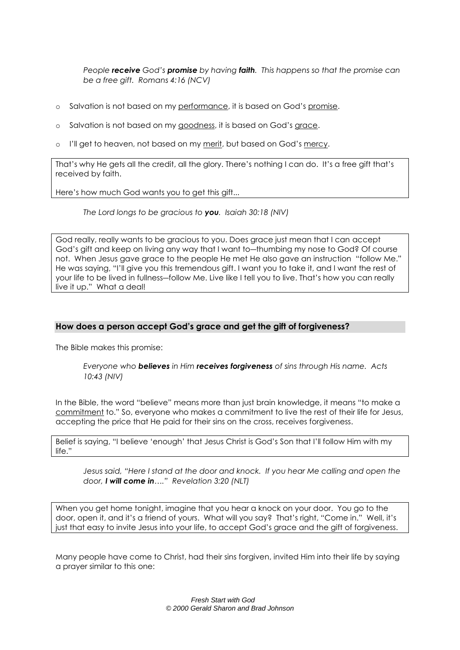*People receive God's promise by having faith. This happens so that the promise can be a free gift. Romans 4:16 (NCV)*

- o Salvation is not based on my performance, it is based on God's promise.
- o Salvation is not based on my goodness, it is based on God's grace.
- $\circ$  I'll get to heaven, not based on my <u>merit</u>, but based on God's <u>mercy</u>.

That's why He gets all the credit, all the glory. There's nothing I can do. It's a free gift that's received by faith.

Here's how much God wants you to get this gift...

*The Lord longs to be gracious to you. Isaiah 30:18 (NIV)*

God really, really wants to be gracious to you. Does grace just mean that I can accept God's gift and keep on living any way that I want to—thumbing my nose to God? Of course not. When Jesus gave grace to the people He met He also gave an instruction "follow Me." He was saying, "I'll give you this tremendous gift. I want you to take it, and I want the rest of your life to be lived in fullness―follow Me. Live like I tell you to live. That's how you can really live it up." What a deal!

# **How does a person accept God's grace and get the gift of forgiveness?**

The Bible makes this promise:

*Everyone who believes in Him receives forgiveness of sins through His name. Acts 10:43 (NIV)*

In the Bible, the word "believe" means more than just brain knowledge, it means "to make a commitment to." So, everyone who makes a commitment to live the rest of their life for Jesus, accepting the price that He paid for their sins on the cross, receives forgiveness.

Belief is saying, "I believe 'enough' that Jesus Christ is God's Son that I'll follow Him with my life."

*Jesus said, "Here I stand at the door and knock. If you hear Me calling and open the door, I will come in…." Revelation 3:20 (NLT)*

When you get home tonight, imagine that you hear a knock on your door. You go to the door, open it, and it's a friend of yours. What will you say? That's right, "Come in." Well, it's just that easy to invite Jesus into your life, to accept God's grace and the gift of forgiveness.

Many people have come to Christ, had their sins forgiven, invited Him into their life by saying a prayer similar to this one: